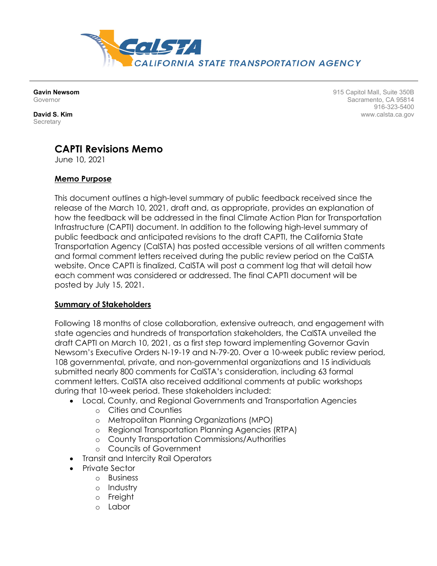

**Gavin Newsom** Governor

**David S. Kim Secretary** 

915 Capitol Mall, Suite 350B Sacramento, CA 95814 916-323-5400 www.calsta.ca.gov

# **CAPTI Revisions Memo**

June 10, 2021

## **Memo Purpose**

This document outlines a high-level summary of public feedback received since the release of the March 10, 2021, draft and, as appropriate, provides an explanation of how the feedback will be addressed in the final Climate Action Plan for Transportation Infrastructure (CAPTI) document. In addition to the following high-level summary of public feedback and anticipated revisions to the draft CAPTI, the California State Transportation Agency (CalSTA) has posted accessible versions of all written comments and formal comment letters received during the public review period on the CalSTA website. Once CAPTI is finalized, CalSTA will post a comment log that will detail how each comment was considered or addressed. The final CAPTI document will be posted by July 15, 2021.

#### **Summary of Stakeholders**

Following 18 months of close collaboration, extensive outreach, and engagement with state agencies and hundreds of transportation stakeholders, the CalSTA unveiled the draft CAPTI on March 10, 2021, as a first step toward implementing Governor Gavin Newsom's Executive Orders N-19-19 and N-79-20. Over a 10-week public review period, 108 governmental, private, and non-governmental organizations and 15 individuals submitted nearly 800 comments for CalSTA's consideration, including 63 formal comment letters. CalSTA also received additional comments at public workshops during that 10-week period. These stakeholders included:

- Local, County, and Regional Governments and Transportation Agencies
	- o Cities and Counties
	- o Metropolitan Planning Organizations (MPO)
	- o Regional Transportation Planning Agencies (RTPA)
	- o County Transportation Commissions/Authorities
	- o Councils of Government
- Transit and Intercity Rail Operators
- Private Sector
	- o Business
	- o Industry
	- o Freight
	- o Labor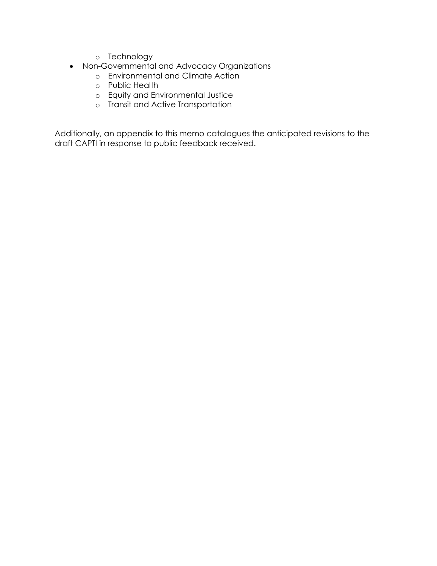- o Technology
- Non-Governmental and Advocacy Organizations
	- o Environmental and Climate Action
	- o Public Health
	- o Equity and Environmental Justice
	- o Transit and Active Transportation

Additionally, an appendix to this memo catalogues the anticipated revisions to the draft CAPTI in response to public feedback received.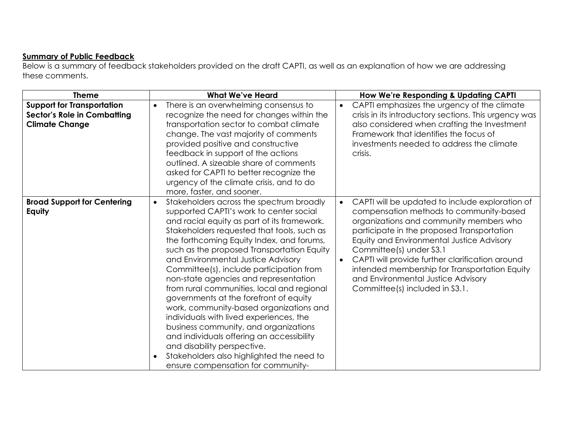# **Summary of Public Feedback**

Below is a summary of feedback stakeholders provided on the draft CAPTI, as well as an explanation of how we are addressing these comments.

| <b>Theme</b>                                                                                     | <b>What We've Heard</b>                                                                                                                                                                                                                                                                                                                                                                                                                                                                                                                                                                                                                                                                                                                                                                                                | How We're Responding & Updating CAPTI                                                                                                                                                                                                                                                                                                                                                                                                                             |
|--------------------------------------------------------------------------------------------------|------------------------------------------------------------------------------------------------------------------------------------------------------------------------------------------------------------------------------------------------------------------------------------------------------------------------------------------------------------------------------------------------------------------------------------------------------------------------------------------------------------------------------------------------------------------------------------------------------------------------------------------------------------------------------------------------------------------------------------------------------------------------------------------------------------------------|-------------------------------------------------------------------------------------------------------------------------------------------------------------------------------------------------------------------------------------------------------------------------------------------------------------------------------------------------------------------------------------------------------------------------------------------------------------------|
| <b>Support for Transportation</b><br><b>Sector's Role in Combatting</b><br><b>Climate Change</b> | There is an overwhelming consensus to<br>$\bullet$<br>recognize the need for changes within the<br>transportation sector to combat climate<br>change. The vast majority of comments<br>provided positive and constructive<br>feedback in support of the actions<br>outlined. A sizeable share of comments<br>asked for CAPTI to better recognize the<br>urgency of the climate crisis, and to do<br>more, faster, and sooner.                                                                                                                                                                                                                                                                                                                                                                                          | CAPTI emphasizes the urgency of the climate<br>$\bullet$<br>crisis in its introductory sections. This urgency was<br>also considered when crafting the Investment<br>Framework that identifies the focus of<br>investments needed to address the climate<br>crisis.                                                                                                                                                                                               |
| <b>Broad Support for Centering</b><br>Equity                                                     | Stakeholders across the spectrum broadly<br>$\bullet$<br>supported CAPTI's work to center social<br>and racial equity as part of its framework.<br>Stakeholders requested that tools, such as<br>the forthcoming Equity Index, and forums,<br>such as the proposed Transportation Equity<br>and Environmental Justice Advisory<br>Committee(s), include participation from<br>non-state agencies and representation<br>from rural communities, local and regional<br>governments at the forefront of equity<br>work, community-based organizations and<br>individuals with lived experiences, the<br>business community, and organizations<br>and individuals offering an accessibility<br>and disability perspective.<br>Stakeholders also highlighted the need to<br>$\bullet$<br>ensure compensation for community- | CAPTI will be updated to include exploration of<br>$\bullet$<br>compensation methods to community-based<br>organizations and community members who<br>participate in the proposed Transportation<br>Equity and Environmental Justice Advisory<br>Committee(s) under S3.1<br>CAPTI will provide further clarification around<br>$\bullet$<br>intended membership for Transportation Equity<br>and Environmental Justice Advisory<br>Committee(s) included in S3.1. |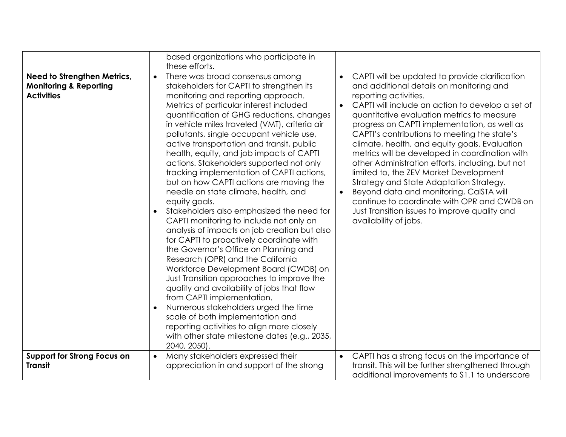|                                                                                       | based organizations who participate in<br>these efforts.                                                                                                                                                                                                                                                                                                                                                                                                                                                                                                                                                                                                                                                                                                                                                                                                                                                                                                                                                                                                                                                                                                                                                    |                                                                                                                                                                                                                                                                                                                                                                                                                                                                                                                                                                                                                                                                                                                                                                              |
|---------------------------------------------------------------------------------------|-------------------------------------------------------------------------------------------------------------------------------------------------------------------------------------------------------------------------------------------------------------------------------------------------------------------------------------------------------------------------------------------------------------------------------------------------------------------------------------------------------------------------------------------------------------------------------------------------------------------------------------------------------------------------------------------------------------------------------------------------------------------------------------------------------------------------------------------------------------------------------------------------------------------------------------------------------------------------------------------------------------------------------------------------------------------------------------------------------------------------------------------------------------------------------------------------------------|------------------------------------------------------------------------------------------------------------------------------------------------------------------------------------------------------------------------------------------------------------------------------------------------------------------------------------------------------------------------------------------------------------------------------------------------------------------------------------------------------------------------------------------------------------------------------------------------------------------------------------------------------------------------------------------------------------------------------------------------------------------------------|
| Need to Strengthen Metrics,<br><b>Monitoring &amp; Reporting</b><br><b>Activities</b> | There was broad consensus among<br>stakeholders for CAPTI to strengthen its<br>monitoring and reporting approach.<br>Metrics of particular interest included<br>quantification of GHG reductions, changes<br>in vehicle miles traveled (VMT), criteria air<br>pollutants, single occupant vehicle use,<br>active transportation and transit, public<br>health, equity, and job impacts of CAPTI<br>actions. Stakeholders supported not only<br>tracking implementation of CAPTI actions,<br>but on how CAPTI actions are moving the<br>needle on state climate, health, and<br>equity goals.<br>Stakeholders also emphasized the need for<br>CAPTI monitoring to include not only an<br>analysis of impacts on job creation but also<br>for CAPTI to proactively coordinate with<br>the Governor's Office on Planning and<br>Research (OPR) and the California<br>Workforce Development Board (CWDB) on<br>Just Transition approaches to improve the<br>quality and availability of jobs that flow<br>from CAPTI implementation.<br>Numerous stakeholders urged the time<br>scale of both implementation and<br>reporting activities to align more closely<br>with other state milestone dates (e.g., 2035, | CAPTI will be updated to provide clarification<br>$\bullet$<br>and additional details on monitoring and<br>reporting activities.<br>CAPTI will include an action to develop a set of<br>$\bullet$<br>quantitative evaluation metrics to measure<br>progress on CAPTI implementation, as well as<br>CAPTI's contributions to meeting the state's<br>climate, health, and equity goals. Evaluation<br>metrics will be developed in coordination with<br>other Administration efforts, including, but not<br>limited to, the ZEV Market Development<br>Strategy and State Adaptation Strategy.<br>Beyond data and monitoring, CaISTA will<br>$\bullet$<br>continue to coordinate with OPR and CWDB on<br>Just Transition issues to improve quality and<br>availability of jobs. |
| <b>Support for Strong Focus on</b><br><b>Transit</b>                                  | 2040, 2050).<br>Many stakeholders expressed their<br>$\bullet$<br>appreciation in and support of the strong                                                                                                                                                                                                                                                                                                                                                                                                                                                                                                                                                                                                                                                                                                                                                                                                                                                                                                                                                                                                                                                                                                 | CAPTI has a strong focus on the importance of<br>$\bullet$<br>transit. This will be further strengthened through<br>additional improvements to \$1.1 to underscore                                                                                                                                                                                                                                                                                                                                                                                                                                                                                                                                                                                                           |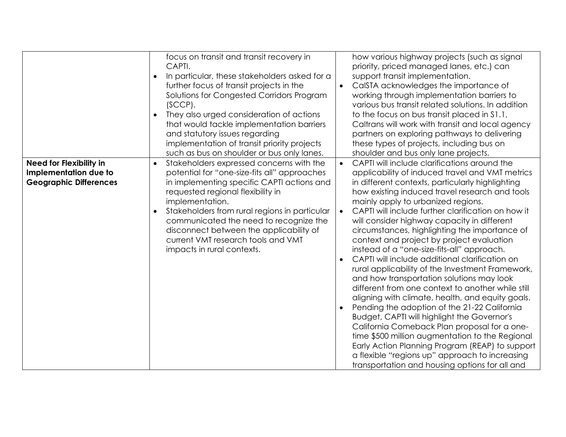|                                                                                          | focus on transit and transit recovery in<br>CAPTI.<br>In particular, these stakeholders asked for a<br>$\bullet$<br>further focus of transit projects in the<br>Solutions for Congested Corridors Program<br>$(SCCP)$ .<br>They also urged consideration of actions<br>that would tackle implementation barriers<br>and statutory issues regarding<br>implementation of transit priority projects<br>such as bus on shoulder or bus only lanes. | $\bullet$              | how various highway projects (such as signal<br>priority, priced managed lanes, etc.) can<br>support transit implementation.<br>CalSTA acknowledges the importance of<br>working through implementation barriers to<br>various bus transit related solutions. In addition<br>to the focus on bus transit placed in \$1.1,<br>Caltrans will work with transit and local agency<br>partners on exploring pathways to delivering<br>these types of projects, including bus on<br>shoulder and bus only lane projects.                                                                                                                                                                                                                                                                                                                                                                                                                                                                                                                                                                                                       |
|------------------------------------------------------------------------------------------|-------------------------------------------------------------------------------------------------------------------------------------------------------------------------------------------------------------------------------------------------------------------------------------------------------------------------------------------------------------------------------------------------------------------------------------------------|------------------------|--------------------------------------------------------------------------------------------------------------------------------------------------------------------------------------------------------------------------------------------------------------------------------------------------------------------------------------------------------------------------------------------------------------------------------------------------------------------------------------------------------------------------------------------------------------------------------------------------------------------------------------------------------------------------------------------------------------------------------------------------------------------------------------------------------------------------------------------------------------------------------------------------------------------------------------------------------------------------------------------------------------------------------------------------------------------------------------------------------------------------|
| <b>Need for Flexibility in</b><br>Implementation due to<br><b>Geographic Differences</b> | Stakeholders expressed concerns with the<br>$\bullet$<br>potential for "one-size-fits all" approaches<br>in implementing specific CAPTI actions and<br>requested regional flexibility in<br>implementation.<br>Stakeholders from rural regions in particular<br>communicated the need to recognize the<br>disconnect between the applicability of<br>current VMT research tools and VMT<br>impacts in rural contexts.                           | $\bullet$<br>$\bullet$ | CAPTI will include clarifications around the<br>applicability of induced travel and VMT metrics<br>in different contexts, particularly highlighting<br>how existing induced travel research and tools<br>mainly apply to urbanized regions.<br>CAPTI will include further clarification on how it<br>will consider highway capacity in different<br>circumstances, highlighting the importance of<br>context and project by project evaluation<br>instead of a "one-size-fits-all" approach.<br>CAPTI will include additional clarification on<br>rural applicability of the Investment Framework,<br>and how transportation solutions may look<br>different from one context to another while still<br>aligning with climate, health, and equity goals.<br>Pending the adoption of the 21-22 California<br><b>Budget, CAPTI will highlight the Governor's</b><br>California Comeback Plan proposal for a one-<br>time \$500 million augmentation to the Regional<br>Early Action Planning Program (REAP) to support<br>a flexible "regions up" approach to increasing<br>transportation and housing options for all and |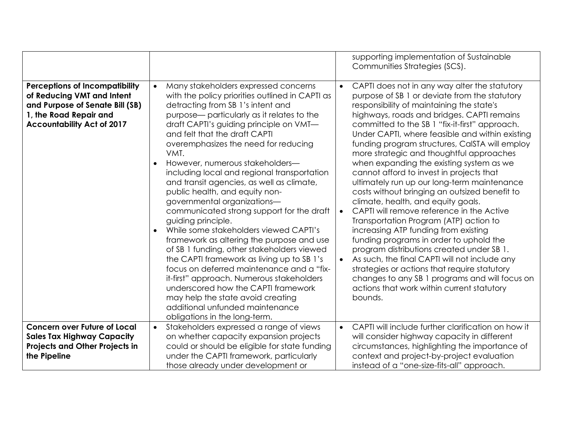|                                                                                                                                                                       |                                                                                                                                                                                                                                                                                                                                                                                                                                                                                                                                                                                                                                                                                                                                                                                                                                                                                                                                                                                                                     | supporting implementation of Sustainable<br>Communities Strategies (SCS).                                                                                                                                                                                                                                                                                                                                                                                                                                                                                                                                                                                                                                                                                                                                                                                                                                                                                                                                                                                                                            |
|-----------------------------------------------------------------------------------------------------------------------------------------------------------------------|---------------------------------------------------------------------------------------------------------------------------------------------------------------------------------------------------------------------------------------------------------------------------------------------------------------------------------------------------------------------------------------------------------------------------------------------------------------------------------------------------------------------------------------------------------------------------------------------------------------------------------------------------------------------------------------------------------------------------------------------------------------------------------------------------------------------------------------------------------------------------------------------------------------------------------------------------------------------------------------------------------------------|------------------------------------------------------------------------------------------------------------------------------------------------------------------------------------------------------------------------------------------------------------------------------------------------------------------------------------------------------------------------------------------------------------------------------------------------------------------------------------------------------------------------------------------------------------------------------------------------------------------------------------------------------------------------------------------------------------------------------------------------------------------------------------------------------------------------------------------------------------------------------------------------------------------------------------------------------------------------------------------------------------------------------------------------------------------------------------------------------|
| <b>Perceptions of Incompatibility</b><br>of Reducing VMT and Intent<br>and Purpose of Senate Bill (SB)<br>1, the Road Repair and<br><b>Accountability Act of 2017</b> | Many stakeholders expressed concerns<br>$\bullet$<br>with the policy priorities outlined in CAPTI as<br>detracting from SB 1's intent and<br>purpose— particularly as it relates to the<br>draft CAPTI's guiding principle on VMT-<br>and felt that the draft CAPTI<br>overemphasizes the need for reducing<br>VMT.<br>However, numerous stakeholders-<br>including local and regional transportation<br>and transit agencies, as well as climate,<br>public health, and equity non-<br>governmental organizations-<br>communicated strong support for the draft<br>guiding principle.<br>While some stakeholders viewed CAPTI's<br>framework as altering the purpose and use<br>of SB 1 funding, other stakeholders viewed<br>the CAPTI framework as living up to SB 1's<br>focus on deferred maintenance and a "fix-<br>it-first" approach. Numerous stakeholders<br>underscored how the CAPTI framework<br>may help the state avoid creating<br>additional unfunded maintenance<br>obligations in the long-term. | CAPTI does not in any way alter the statutory<br>$\bullet$<br>purpose of SB 1 or deviate from the statutory<br>responsibility of maintaining the state's<br>highways, roads and bridges. CAPTI remains<br>committed to the SB 1 "fix-it-first" approach.<br>Under CAPTI, where feasible and within existing<br>funding program structures, CaISTA will employ<br>more strategic and thoughtful approaches<br>when expanding the existing system as we<br>cannot afford to invest in projects that<br>ultimately run up our long-term maintenance<br>costs without bringing an outsized benefit to<br>climate, health, and equity goals.<br>CAPTI will remove reference in the Active<br>$\bullet$<br>Transportation Program (ATP) action to<br>increasing ATP funding from existing<br>funding programs in order to uphold the<br>program distributions created under SB 1.<br>As such, the final CAPTI will not include any<br>$\bullet$<br>strategies or actions that require statutory<br>changes to any SB 1 programs and will focus on<br>actions that work within current statutory<br>bounds. |
| <b>Concern over Future of Local</b><br><b>Sales Tax Highway Capacity</b><br><b>Projects and Other Projects in</b><br>the Pipeline                                     | Stakeholders expressed a range of views<br>$\bullet$<br>on whether capacity expansion projects<br>could or should be eligible for state funding<br>under the CAPTI framework, particularly<br>those already under development or                                                                                                                                                                                                                                                                                                                                                                                                                                                                                                                                                                                                                                                                                                                                                                                    | CAPTI will include further clarification on how it<br>$\bullet$<br>will consider highway capacity in different<br>circumstances, highlighting the importance of<br>context and project-by-project evaluation<br>instead of a "one-size-fits-all" approach.                                                                                                                                                                                                                                                                                                                                                                                                                                                                                                                                                                                                                                                                                                                                                                                                                                           |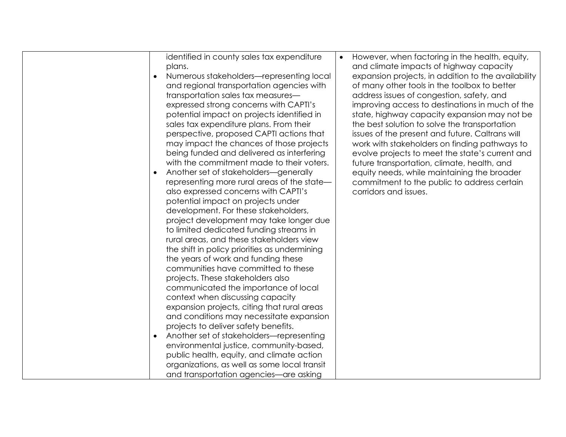| identified in county sales tax expenditure<br>plans.<br>Numerous stakeholders-representing local<br>and regional transportation agencies with<br>transportation sales tax measures-<br>expressed strong concerns with CAPTI's<br>potential impact on projects identified in<br>sales tax expenditure plans. From their<br>perspective, proposed CAPTI actions that<br>may impact the chances of those projects                                                                                                                                                                                                                                                                                                                                                                                                                                                                                                   | $\bullet$ | However, when factoring in the health, equity,<br>and climate impacts of highway capacity<br>expansion projects, in addition to the availability<br>of many other tools in the toolbox to better<br>address issues of congestion, safety, and<br>improving access to destinations in much of the<br>state, highway capacity expansion may not be<br>the best solution to solve the transportation<br>issues of the present and future. Caltrans will<br>work with stakeholders on finding pathways to |
|------------------------------------------------------------------------------------------------------------------------------------------------------------------------------------------------------------------------------------------------------------------------------------------------------------------------------------------------------------------------------------------------------------------------------------------------------------------------------------------------------------------------------------------------------------------------------------------------------------------------------------------------------------------------------------------------------------------------------------------------------------------------------------------------------------------------------------------------------------------------------------------------------------------|-----------|-------------------------------------------------------------------------------------------------------------------------------------------------------------------------------------------------------------------------------------------------------------------------------------------------------------------------------------------------------------------------------------------------------------------------------------------------------------------------------------------------------|
| with the commitment made to their voters.<br>Another set of stakeholders-generally<br>representing more rural areas of the state-<br>also expressed concerns with CAPTI's<br>potential impact on projects under<br>development. For these stakeholders,<br>project development may take longer due<br>to limited dedicated funding streams in<br>rural areas, and these stakeholders view<br>the shift in policy priorities as undermining<br>the years of work and funding these<br>communities have committed to these<br>projects. These stakeholders also<br>communicated the importance of local<br>context when discussing capacity<br>expansion projects, citing that rural areas<br>and conditions may necessitate expansion<br>projects to deliver safety benefits.<br>Another set of stakeholders-representing<br>environmental justice, community-based,<br>public health, equity, and climate action |           | future transportation, climate, health, and<br>equity needs, while maintaining the broader<br>commitment to the public to address certain<br>corridors and issues.                                                                                                                                                                                                                                                                                                                                    |
| organizations, as well as some local transit<br>and transportation agencies—are asking                                                                                                                                                                                                                                                                                                                                                                                                                                                                                                                                                                                                                                                                                                                                                                                                                           |           |                                                                                                                                                                                                                                                                                                                                                                                                                                                                                                       |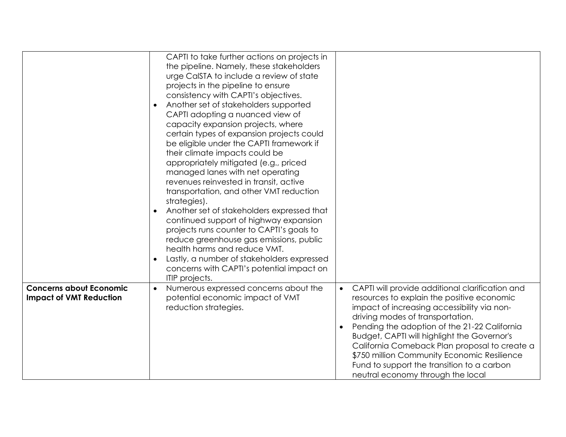|                                                                  | CAPTI to take further actions on projects in<br>the pipeline. Namely, these stakeholders<br>urge CalSTA to include a review of state<br>projects in the pipeline to ensure<br>consistency with CAPTI's objectives.<br>Another set of stakeholders supported<br>CAPTI adopting a nuanced view of<br>capacity expansion projects, where<br>certain types of expansion projects could<br>be eligible under the CAPTI framework if<br>their climate impacts could be<br>appropriately mitigated (e.g., priced<br>managed lanes with net operating<br>revenues reinvested in transit, active<br>transportation, and other VMT reduction<br>strategies).<br>Another set of stakeholders expressed that<br>continued support of highway expansion<br>projects runs counter to CAPTI's goals to<br>reduce greenhouse gas emissions, public<br>health harms and reduce VMT.<br>Lastly, a number of stakeholders expressed<br>concerns with CAPTI's potential impact on<br>ITIP projects. |                                                                                                                                                                                                                                                                                                                                                                                                                                                                                        |
|------------------------------------------------------------------|---------------------------------------------------------------------------------------------------------------------------------------------------------------------------------------------------------------------------------------------------------------------------------------------------------------------------------------------------------------------------------------------------------------------------------------------------------------------------------------------------------------------------------------------------------------------------------------------------------------------------------------------------------------------------------------------------------------------------------------------------------------------------------------------------------------------------------------------------------------------------------------------------------------------------------------------------------------------------------|----------------------------------------------------------------------------------------------------------------------------------------------------------------------------------------------------------------------------------------------------------------------------------------------------------------------------------------------------------------------------------------------------------------------------------------------------------------------------------------|
| <b>Concerns about Economic</b><br><b>Impact of VMT Reduction</b> | Numerous expressed concerns about the<br>potential economic impact of VMT<br>reduction strategies.                                                                                                                                                                                                                                                                                                                                                                                                                                                                                                                                                                                                                                                                                                                                                                                                                                                                              | CAPTI will provide additional clarification and<br>$\bullet$<br>resources to explain the positive economic<br>impact of increasing accessibility via non-<br>driving modes of transportation.<br>Pending the adoption of the 21-22 California<br><b>Budget, CAPTI will highlight the Governor's</b><br>California Comeback Plan proposal to create a<br>\$750 million Community Economic Resilience<br>Fund to support the transition to a carbon<br>neutral economy through the local |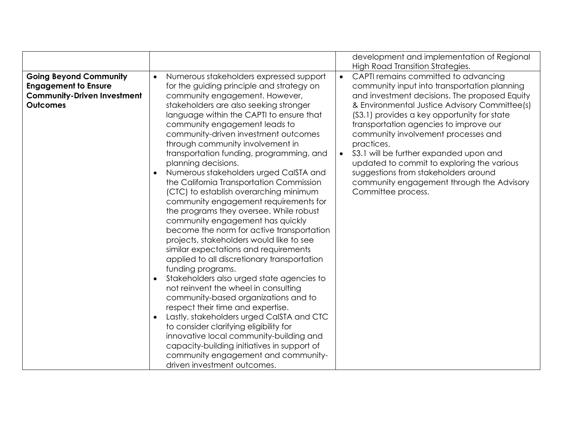| <b>Going Beyond Community</b><br>CAPTI remains committed to advancing<br>Numerous stakeholders expressed support<br>$\bullet$<br>$\bullet$<br>community input into transportation planning<br><b>Engagement to Ensure</b><br>for the guiding principle and strategy on<br><b>Community-Driven Investment</b><br>community engagement. However,<br><b>Outcomes</b><br>stakeholders are also seeking stronger<br>(S3.1) provides a key opportunity for state<br>language within the CAPTI to ensure that<br>community engagement leads to<br>transportation agencies to improve our<br>community-driven investment outcomes<br>community involvement processes and<br>through community involvement in<br>practices.<br>\$3.1 will be further expanded upon and<br>transportation funding, programming, and<br>$\bullet$<br>planning decisions.<br>updated to commit to exploring the various<br>Numerous stakeholders urged CalSTA and<br>suggestions from stakeholders around<br>the California Transportation Commission<br>(CTC) to establish overarching minimum<br>Committee process.<br>community engagement requirements for<br>the programs they oversee. While robust |                                  | development and implementation of Regional                                                                                                                                      |
|-------------------------------------------------------------------------------------------------------------------------------------------------------------------------------------------------------------------------------------------------------------------------------------------------------------------------------------------------------------------------------------------------------------------------------------------------------------------------------------------------------------------------------------------------------------------------------------------------------------------------------------------------------------------------------------------------------------------------------------------------------------------------------------------------------------------------------------------------------------------------------------------------------------------------------------------------------------------------------------------------------------------------------------------------------------------------------------------------------------------------------------------------------------------------------|----------------------------------|---------------------------------------------------------------------------------------------------------------------------------------------------------------------------------|
| become the norm for active transportation<br>projects, stakeholders would like to see<br>similar expectations and requirements<br>applied to all discretionary transportation<br>funding programs.<br>Stakeholders also urged state agencies to<br>not reinvent the wheel in consulting<br>community-based organizations and to<br>respect their time and expertise.<br>Lastly, stakeholders urged CaISTA and CTC<br>to consider clarifying eligibility for<br>innovative local community-building and<br>capacity-building initiatives in support of<br>community engagement and community-                                                                                                                                                                                                                                                                                                                                                                                                                                                                                                                                                                                  | community engagement has quickly | High Road Transition Strategies.<br>and investment decisions. The proposed Equity<br>& Environmental Justice Advisory Committee(s)<br>community engagement through the Advisory |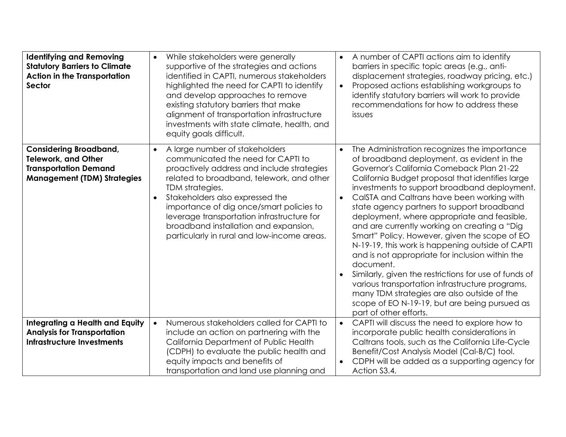| <b>Identifying and Removing</b><br><b>Statutory Barriers to Climate</b><br><b>Action in the Transportation</b><br><b>Sector</b>   | While stakeholders were generally<br>$\bullet$<br>supportive of the strategies and actions<br>identified in CAPTI, numerous stakeholders<br>highlighted the need for CAPTI to identify<br>and develop approaches to remove<br>existing statutory barriers that make<br>alignment of transportation infrastructure<br>investments with state climate, health, and<br>equity goals difficult.                                       | A number of CAPTI actions aim to identify<br>$\bullet$<br>barriers in specific topic areas (e.g., anti-<br>displacement strategies, roadway pricing, etc.)<br>Proposed actions establishing workgroups to<br>$\bullet$<br>identify statutory barriers will work to provide<br>recommendations for how to address these<br>issues                                                                                                                                                                                                                                                                                                                                                                                                                                                                                                                               |
|-----------------------------------------------------------------------------------------------------------------------------------|-----------------------------------------------------------------------------------------------------------------------------------------------------------------------------------------------------------------------------------------------------------------------------------------------------------------------------------------------------------------------------------------------------------------------------------|----------------------------------------------------------------------------------------------------------------------------------------------------------------------------------------------------------------------------------------------------------------------------------------------------------------------------------------------------------------------------------------------------------------------------------------------------------------------------------------------------------------------------------------------------------------------------------------------------------------------------------------------------------------------------------------------------------------------------------------------------------------------------------------------------------------------------------------------------------------|
| <b>Considering Broadband,</b><br><b>Telework, and Other</b><br><b>Transportation Demand</b><br><b>Management (TDM) Strategies</b> | A large number of stakeholders<br>$\bullet$<br>communicated the need for CAPTI to<br>proactively address and include strategies<br>related to broadband, telework, and other<br>TDM strategies.<br>Stakeholders also expressed the<br>$\bullet$<br>importance of dig once/smart policies to<br>leverage transportation infrastructure for<br>broadband installation and expansion,<br>particularly in rural and low-income areas. | The Administration recognizes the importance<br>of broadband deployment, as evident in the<br>Governor's California Comeback Plan 21-22<br>California Budget proposal that identifies large<br>investments to support broadband deployment.<br>CalSTA and Caltrans have been working with<br>$\bullet$<br>state agency partners to support broadband<br>deployment, where appropriate and feasible,<br>and are currently working on creating a "Dig<br>Smart" Policy. However, given the scope of EO<br>N-19-19, this work is happening outside of CAPTI<br>and is not appropriate for inclusion within the<br>document.<br>Similarly, given the restrictions for use of funds of<br>various transportation infrastructure programs,<br>many TDM strategies are also outside of the<br>scope of EO N-19-19, but are being pursued as<br>part of other efforts. |
| <b>Integrating a Health and Equity</b><br><b>Analysis for Transportation</b><br><b>Infrastructure Investments</b>                 | Numerous stakeholders called for CAPTI to<br>$\bullet$<br>include an action on partnering with the<br>California Department of Public Health<br>(CDPH) to evaluate the public health and<br>equity impacts and benefits of<br>transportation and land use planning and                                                                                                                                                            | CAPTI will discuss the need to explore how to<br>$\bullet$<br>incorporate public health considerations in<br>Caltrans tools, such as the California Life-Cycle<br>Benefit/Cost Analysis Model (Cal-B/C) tool.<br>CDPH will be added as a supporting agency for<br>$\bullet$<br>Action S3.4.                                                                                                                                                                                                                                                                                                                                                                                                                                                                                                                                                                    |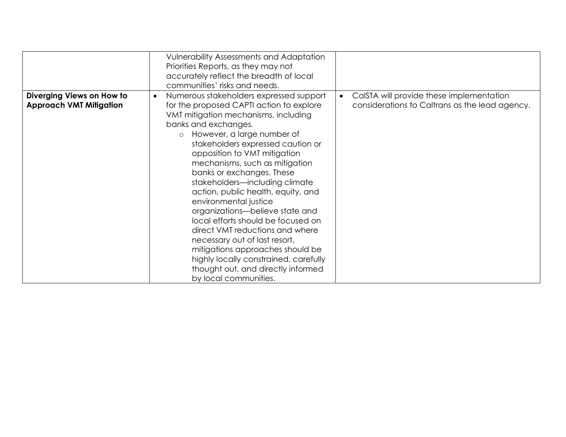|                                                             | <b>Vulnerability Assessments and Adaptation</b><br>Priorities Reports, as they may not<br>accurately reflect the breadth of local<br>communities' risks and needs.                                                                                                                                                                                                                                                                                                                                                                                                                                                                                                                                                                      |                                                                                                         |
|-------------------------------------------------------------|-----------------------------------------------------------------------------------------------------------------------------------------------------------------------------------------------------------------------------------------------------------------------------------------------------------------------------------------------------------------------------------------------------------------------------------------------------------------------------------------------------------------------------------------------------------------------------------------------------------------------------------------------------------------------------------------------------------------------------------------|---------------------------------------------------------------------------------------------------------|
| Diverging Views on How to<br><b>Approach VMT Mitigation</b> | Numerous stakeholders expressed support<br>$\bullet$<br>for the proposed CAPTI action to explore<br>VMT mitigation mechanisms, including<br>banks and exchanges.<br>However, a large number of<br>$\circ$<br>stakeholders expressed caution or<br>opposition to VMT mitigation<br>mechanisms, such as mitigation<br>banks or exchanges. These<br>stakeholders-including climate<br>action, public health, equity, and<br>environmental justice<br>organizations-believe state and<br>local efforts should be focused on<br>direct VMT reductions and where<br>necessary out of last resort,<br>mitigations approaches should be<br>highly locally constrained, carefully<br>thought out, and directly informed<br>by local communities. | CalSTA will provide these implementation<br>$\bullet$<br>considerations to Caltrans as the lead agency. |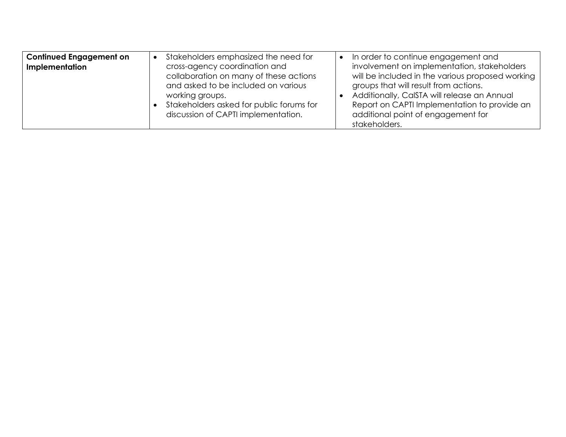| <b>Continued Engagement on</b> | Stakeholders emphasized the need for                                                                                                                                                                                 | In order to continue engagement and                                                                                                                                                                                                                                                            |
|--------------------------------|----------------------------------------------------------------------------------------------------------------------------------------------------------------------------------------------------------------------|------------------------------------------------------------------------------------------------------------------------------------------------------------------------------------------------------------------------------------------------------------------------------------------------|
| Implementation                 | cross-agency coordination and<br>collaboration on many of these actions<br>and asked to be included on various<br>working groups.<br>Stakeholders asked for public forums for<br>discussion of CAPTI implementation. | involvement on implementation, stakeholders<br>will be included in the various proposed working<br>groups that will result from actions.<br>Additionally, CalSTA will release an Annual<br>Report on CAPTI Implementation to provide an<br>additional point of engagement for<br>stakeholders. |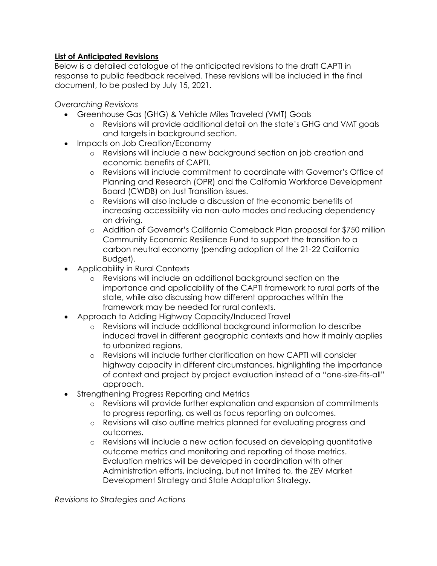## **List of Anticipated Revisions**

Below is a detailed catalogue of the anticipated revisions to the draft CAPTI in response to public feedback received. These revisions will be included in the final document, to be posted by July 15, 2021.

*Overarching Revisions*

- Greenhouse Gas (GHG) & Vehicle Miles Traveled (VMT) Goals
	- o Revisions will provide additional detail on the state's GHG and VMT goals and targets in background section.
- Impacts on Job Creation/Economy
	- o Revisions will include a new background section on job creation and economic benefits of CAPTI.
	- o Revisions will include commitment to coordinate with Governor's Office of Planning and Research (OPR) and the California Workforce Development Board (CWDB) on Just Transition issues.
	- o Revisions will also include a discussion of the economic benefits of increasing accessibility via non-auto modes and reducing dependency on driving.
	- o Addition of Governor's California Comeback Plan proposal for \$750 million Community Economic Resilience Fund to support the transition to a carbon neutral economy (pending adoption of the 21-22 California Budget).
- Applicability in Rural Contexts
	- o Revisions will include an additional background section on the importance and applicability of the CAPTI framework to rural parts of the state, while also discussing how different approaches within the framework may be needed for rural contexts.
- Approach to Adding Highway Capacity/Induced Travel
	- o Revisions will include additional background information to describe induced travel in different geographic contexts and how it mainly applies to urbanized regions.
	- o Revisions will include further clarification on how CAPTI will consider highway capacity in different circumstances, highlighting the importance of context and project by project evaluation instead of a "one-size-fits-all" approach.
- Strengthening Progress Reporting and Metrics
	- o Revisions will provide further explanation and expansion of commitments to progress reporting, as well as focus reporting on outcomes.
	- o Revisions will also outline metrics planned for evaluating progress and outcomes.
	- o Revisions will include a new action focused on developing quantitative outcome metrics and monitoring and reporting of those metrics. Evaluation metrics will be developed in coordination with other Administration efforts, including, but not limited to, the ZEV Market Development Strategy and State Adaptation Strategy.

*Revisions to Strategies and Actions*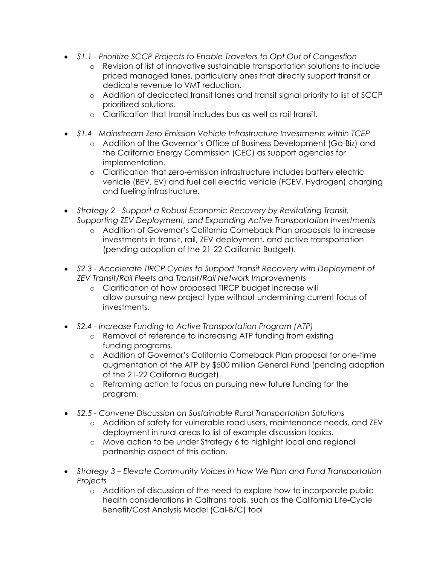- *S1.1 - Prioritize SCCP Projects to Enable Travelers to Opt Out of Congestion*
	- o Revision of list of innovative sustainable transportation solutions to include priced managed lanes, particularly ones that directly support transit or dedicate revenue to VMT reduction.
	- o Addition of dedicated transit lanes and transit signal priority to list of SCCP prioritized solutions.
	- o Clarification that transit includes bus as well as rail transit.
- *S1.4 - Mainstream Zero-Emission Vehicle Infrastructure Investments within TCEP*
	- o Addition of the Governor's Office of Business Development (Go-Biz) and the California Energy Commission (CEC) as support agencies for implementation.
	- o Clarification that zero-emission infrastructure includes battery electric vehicle (BEV, EV) and fuel cell electric vehicle (FCEV, Hydrogen) charging and fueling infrastructure.
- *Strategy 2 - Support a Robust Economic Recovery by Revitalizing Transit, Supporting ZEV Deployment, and Expanding Active Transportation Investments*
	- o Addition of Governor's California Comeback Plan proposals to increase investments in transit, rail, ZEV deployment, and active transportation (pending adoption of the 21-22 California Budget).
- *S2.3 - Accelerate TIRCP Cycles to Support Transit Recovery with Deployment of ZEV Transit/Rail Fleets and Transit/Rail Network Improvements*
	- o Clarification of how proposed TIRCP budget increase will allow pursuing new project type without undermining current focus of investments.
- *S2.4 - Increase Funding to Active Transportation Program (ATP)*
	- o Removal of reference to increasing ATP funding from existing funding programs.
	- o Addition of Governor's California Comeback Plan proposal for one-time augmentation of the ATP by \$500 million General Fund (pending adoption of the 21-22 California Budget).
	- o Reframing action to focus on pursuing new future funding for the program.
- *S2.5 - Convene Discussion on Sustainable Rural Transportation Solutions*
	- o Addition of safety for vulnerable road users, maintenance needs, and ZEV deployment in rural areas to list of example discussion topics.
	- o Move action to be under Strategy 6 to highlight local and regional partnership aspect of this action.
- *Strategy 3 – Elevate Community Voices in How We Plan and Fund Transportation Projects*
	- o Addition of discussion of the need to explore how to incorporate public health considerations in Caltrans tools, such as the California Life-Cycle Benefit/Cost Analysis Model (Cal-B/C) tool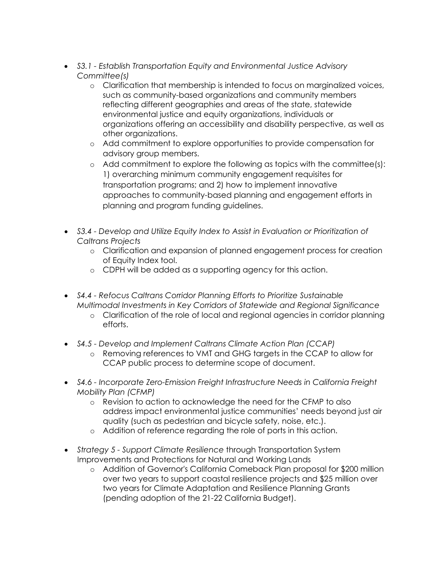- *S3.1 - Establish Transportation Equity and Environmental Justice Advisory Committee(s)*
	- o Clarification that membership is intended to focus on marginalized voices, such as community-based organizations and community members reflecting different geographies and areas of the state, statewide environmental justice and equity organizations, individuals or organizations offering an accessibility and disability perspective, as well as other organizations.
	- o Add commitment to explore opportunities to provide compensation for advisory group members.
	- o Add commitment to explore the following as topics with the committee(s): 1) overarching minimum community engagement requisites for transportation programs; and 2) how to implement innovative approaches to community-based planning and engagement efforts in planning and program funding guidelines.
- *S3.4 - Develop and Utilize Equity Index to Assist in Evaluation or Prioritization of Caltrans Projects*
	- o Clarification and expansion of planned engagement process for creation of Equity Index tool.
	- o CDPH will be added as a supporting agency for this action.
- *S4.4 - Refocus Caltrans Corridor Planning Efforts to Prioritize Sustainable Multimodal Investments in Key Corridors of Statewide and Regional Significance*
	- o Clarification of the role of local and regional agencies in corridor planning efforts.
- *S4.5 - Develop and Implement Caltrans Climate Action Plan (CCAP)*
	- o Removing references to VMT and GHG targets in the CCAP to allow for CCAP public process to determine scope of document.
- *S4.6 - Incorporate Zero-Emission Freight Infrastructure Needs in California Freight Mobility Plan (CFMP)*
	- o Revision to action to acknowledge the need for the CFMP to also address impact environmental justice communities' needs beyond just air quality (such as pedestrian and bicycle safety, noise, etc.).
	- o Addition of reference regarding the role of ports in this action.
- *Strategy 5 - Support Climate Resilience* through Transportation System Improvements and Protections for Natural and Working Lands
	- o Addition of Governor's California Comeback Plan proposal for \$200 million over two years to support coastal resilience projects and \$25 million over two years for Climate Adaptation and Resilience Planning Grants (pending adoption of the 21-22 California Budget).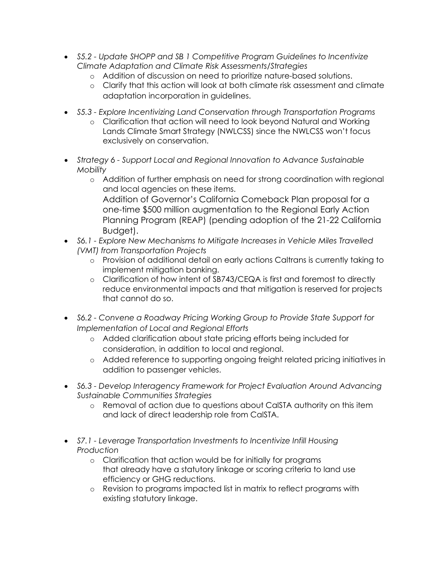- *S5.2 - Update SHOPP and SB 1 Competitive Program Guidelines to Incentivize Climate Adaptation and Climate Risk Assessments/Strategies*
	- o Addition of discussion on need to prioritize nature-based solutions.
	- o Clarify that this action will look at both climate risk assessment and climate adaptation incorporation in guidelines.
- *S5.3 - Explore Incentivizing Land Conservation through Transportation Programs*
	- o Clarification that action will need to look beyond Natural and Working Lands Climate Smart Strategy (NWLCSS) since the NWLCSS won't focus exclusively on conservation.
- *Strategy 6 - Support Local and Regional Innovation to Advance Sustainable Mobility*
	- o Addition of further emphasis on need for strong coordination with regional and local agencies on these items. Addition of Governor's California Comeback Plan proposal for a one-time \$500 million augmentation to the Regional Early Action Planning Program (REAP) (pending adoption of the 21-22 California Budget).
- *S6.1 - Explore New Mechanisms to Mitigate Increases in Vehicle Miles Travelled (VMT) from Transportation Projects*
	- o Provision of additional detail on early actions Caltrans is currently taking to implement mitigation banking.
	- o Clarification of how intent of SB743/CEQA is first and foremost to directly reduce environmental impacts and that mitigation is reserved for projects that cannot do so.
- *S6.2 - Convene a Roadway Pricing Working Group to Provide State Support for Implementation of Local and Regional Efforts*
	- o Added clarification about state pricing efforts being included for consideration, in addition to local and regional.
	- o Added reference to supporting ongoing freight related pricing initiatives in addition to passenger vehicles.
- *S6.3 - Develop Interagency Framework for Project Evaluation Around Advancing Sustainable Communities Strategies*
	- o Removal of action due to questions about CalSTA authority on this item and lack of direct leadership role from CalSTA.
- *S7.1 - Leverage Transportation Investments to Incentivize Infill Housing Production*
	- o Clarification that action would be for initially for programs that already have a statutory linkage or scoring criteria to land use efficiency or GHG reductions.
	- o Revision to programs impacted list in matrix to reflect programs with existing statutory linkage.